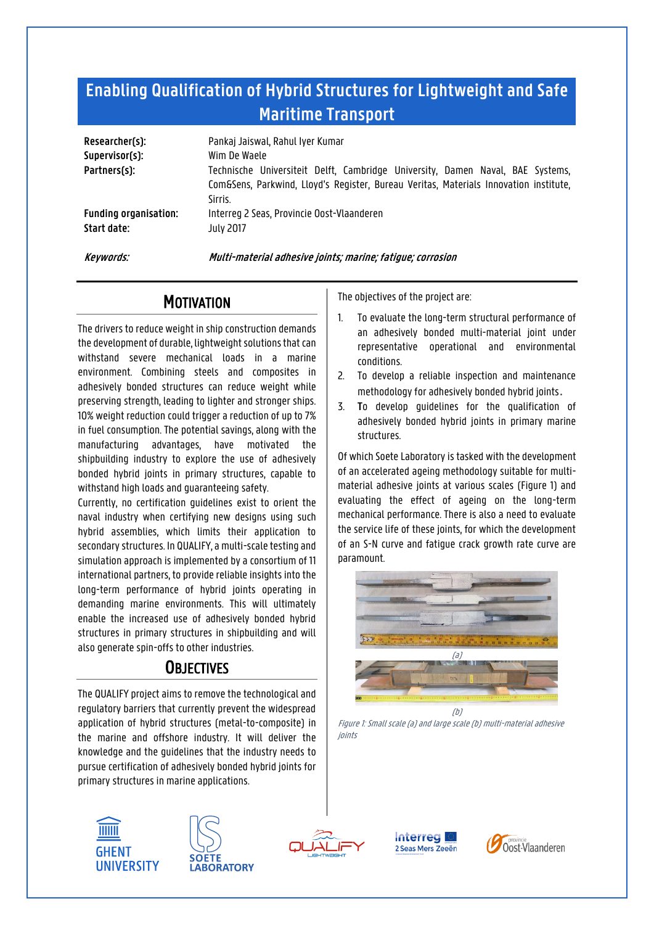# **Enabling Qualification of Hybrid Structures for Lightweight and Safe Maritime Transport**

| Researcher(s):<br>Supervisor(s):<br>Partners(s): | Pankaj Jaiswal, Rahul Iyer Kumar<br>Wim De Waele<br>Technische Universiteit Delft, Cambridge University, Damen Naval, BAE Systems,<br>Com&Sens, Parkwind, Lloyd's Register, Bureau Veritas, Materials Innovation institute,<br>Sirris. |
|--------------------------------------------------|----------------------------------------------------------------------------------------------------------------------------------------------------------------------------------------------------------------------------------------|
| <b>Funding organisation:</b>                     | Interreg 2 Seas, Provincie Oost-Vlaanderen                                                                                                                                                                                             |
| Start date:                                      | <b>July 2017</b>                                                                                                                                                                                                                       |

**Keywords: Multi-material adhesive joints; marine; fatigue; corrosion**

### **MOTIVATION**

The drivers to reduce weight in ship construction demands the development of durable, lightweight solutions that can withstand severe mechanical loads in a marine environment. Combining steels and composites in adhesively bonded structures can reduce weight while preserving strength, leading to lighter and stronger ships. 10% weight reduction could trigger a reduction of up to 7% in fuel consumption. The potential savings, along with the manufacturing advantages, have motivated the shipbuilding industry to explore the use of adhesively bonded hybrid joints in primary structures, capable to withstand high loads and guaranteeing safety.

Currently, no certification guidelines exist to orient the naval industry when certifying new designs using such hybrid assemblies, which limits their application to secondary structures. In QUALIFY, a multi-scale testing and simulation approach is implemented by a consortium of 11 international partners, to provide reliable insights into the long-term performance of hybrid joints operating in demanding marine environments. This will ultimately enable the increased use of adhesively bonded hybrid structures in primary structures in shipbuilding and will also generate spin-offs to other industries.

## **OBJECTIVES**

The QUALIFY project aims to remove the technological and regulatory barriers that currently prevent the widespread application of hybrid structures (metal-to-composite) in the marine and offshore industry. It will deliver the knowledge and the guidelines that the industry needs to pursue certification of adhesively bonded hybrid joints for primary structures in marine applications.









The objectives of the project are:

- 1. To evaluate the long-term structural performance of an adhesively bonded multi-material joint under representative operational and environmental conditions.
- 2. To develop a reliable inspection and maintenance methodology for adhesively bonded hybrid joints.
- 3. **T**o develop guidelines for the qualification of adhesively bonded hybrid joints in primary marine structures.

Of which Soete Laboratory is tasked with the development of an accelerated ageing methodology suitable for multimaterial adhesive joints at various scales (Figure 1) and evaluating the effect of ageing on the long-term mechanical performance. There is also a need to evaluate the service life of these joints, for which the development of an S-N curve and fatigue crack growth rate curve are paramount.



Figure 1: Small scale (a) and large scale (b) multi-material adhesive joints